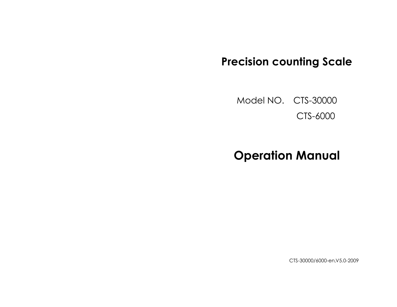# **Precision counting Scale**

Model NO. CTS-30000 CTS-6000

# **Operation Manual**

CTS-30000/6000-en,V5.0-2009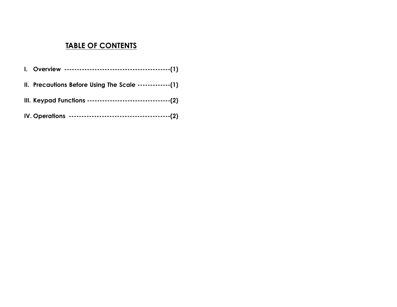# **TABLE OF CONTENTS**

| III. Keypad Functions -----------------------------------(2) |
|--------------------------------------------------------------|
|                                                              |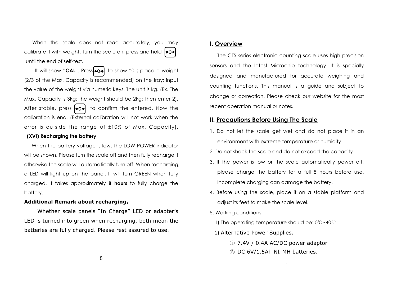When the scale does not read accurately, you may calibrate it with weight. Turn the scale on; press and hold  $\blacktriangleright$ 04 until the end of self-test.

It will show "**CAL**". Press**to a** to show "0"; place a weight (2/3 of the Max. Capacity is recommended) on the tray; input the value of the weight via numeric keys. The unit is kg. (Ex. The Max. Capacity is 3kg; the weight should be 2kg; then enter 2). After stable, press  $\rightarrow$  to confirm the entered. Now the calibration is end. (External calibration will not work when the error is outside the range of ±10% of Max. Capacity).

#### **(XVI) Recharging the battery**

When the battery voltage is low, the LOW POWER indicator will be shown. Please turn the scale off and then fully recharge it, otherwise the scale will automatically turn off. When recharging, a LED will light up on the panel. It will turn GREEN when fully charged. It takes approximately **8 hours** to fully charge the battery.

#### **Additional Remark about recharging**:

Whether scale panels "In Charge" LED or adapter's LED is turned into green when recharging, both mean the batteries are fully charged. Please rest assured to use.

#### **I. Overview**

The CTS series electronic counting scale uses high precision sensors and the latest Microchip technology. It is specially designed and manufactured for accurate weighing and counting functions. This manual is a guide and subject to change or correction. Please check our website for the most recent operation manual or notes.

#### **II. Precautions Before Using The Scale**

- 1. Do not let the scale get wet and do not place it in an environment with extreme temperature or humidity.
- 2. Do not shock the scale and do not exceed the capacity.
- 3. If the power is low or the scale automatically power off, please charge the battery for a full 8 hours before use. Incomplete charging can damage the battery.
- 4. Before using the scale, place it on a stable platform and adjust its feet to make the scale level.
- 5. Working conditions:
	- 1) The operating temperature should be: 0℃~40℃
	- 2) Alternative Power Supplies:
		- ① 7.4V / 0.4A AC/DC power adaptor
		- ② DC 6V/1.5Ah NI-MH batteries.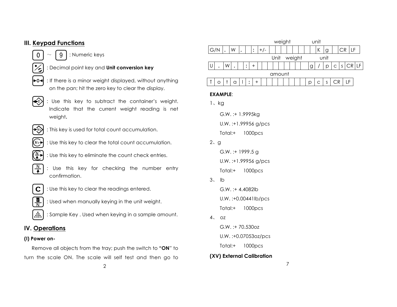# **III. Keypad Functions**

- $0$  |  $\sim$  | 9 | : Numeric keys
- : Decimal point key and **Unit conversion key**
- $\rightarrow$ 0 $\parallel$  : If there is a minor weight displayed, without anything on the pan; hit the zero key to clear the display.
- $\leftarrow$  : Use this key to subtract the container's weight. Indicate that the current weight reading is net weight**.**
- : This key is used for total count accumulation.
- : Use this key to clear the total count accumulation.  $(M<sub>+</sub>)$
- $\left(\begin{array}{c} N \ \end{array}\right)$  : Use this key to eliminate the count check entries.
- $\frac{N}{\blacktriangle}$  : Use this key for checking the number entry confirmation.
- $\frac{g}{N}$
- $\mathbf{C}$  : Use this key to clear the readings entered.
	- : Used when manually keying in the unit weight.
- $\therefore$ : Sample Key . Used when keying in a sample amount.

# **IV. Operations**

#### **(I) Power on-**

Remove all objects from the tray; push the switch to **"ON**" to turn the scale ON. The scale will self test and then go to

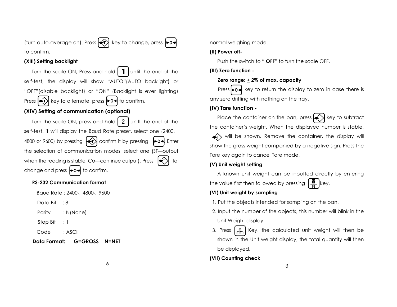(turn auto-average on). Press  $\leftarrow$ T $\right>$  key to change, press  $\rightleftharpoons$ 0 $\leftarrow$ to confirm.

#### **(XIII) Setting backlight**

Turn the scale ON, Press and hold  $\int$  until the end of the self-test, the display will show "AUTO"(AUTO backlight) or "OFF"(disable backlight) or "ON" (Backlight is ever lighting) Press  $\leftrightarrow$ T key to alternate, press  $\leftrightarrow$ O $\leftrightarrow$  to confirm.

#### **(XIV) Setting of communication (optional)**

Turn the scale ON, press and hold  $\mid 2 \mid$  unitl the end of the self-test, it will display the Baud Rate preset, select one (2400、 4800 or 9600) by pressing  $\leftrightarrow$  confirm it by pressing  $\leftrightarrow$  0 $\leftrightarrow$  Enter the selection of communication modes, select one (ST—output when the reading is stable, Co-continue output). Press change and press  $\blacktriangleright$  0 $\blacktriangleleft$  to confirm.  $\overline{\phantom{a}}$ 

#### **RS-232 Communication format**

Baud Rate : 2400、4800、9600

Data Bit : 8

Parity : N(None)

Stop Bit : 1

Code : ASCII

## **Data Format: G=GROSS N=NET**

normal weighing mode.

#### **(II) Power off-**

Push the switch to " **OFF**" to turn the scale OFF.

**(III) Zero function -**

## **Zero range: + 2% of max. capacity**

Press  $\rightarrow$  0 $\rightarrow$  key to return the display to zero in case there is any zero drifting with nothing on the tray.

## **(IV) Tare function -**

Place the container on the pan, press  $\leftarrow$  key to subtract the container's weight. When the displayed number is stable,

will be shown. Remove the container, the display will show the gross weight companied by a negative sign. Press the Tare key again to cancel Tare mode.

## **(V) Unit weight setting**

A known unit weight can be inputted directly by entering the value first then followed by pressing  $\frac{g}{N}$  key.

## **(VI) Unit weight by sampling**

- 1. Put the objects intended for sampling on the pan.
- 2. Input the number of the objects, this number will blink in the Unit Weight display.
- 3. Press  $\left|\mathbf{A}\right|$  Key, the calculated unit weight will then be shown in the Unit weight display, the total quantity will then be displayed.

## **(VII) Counting check**